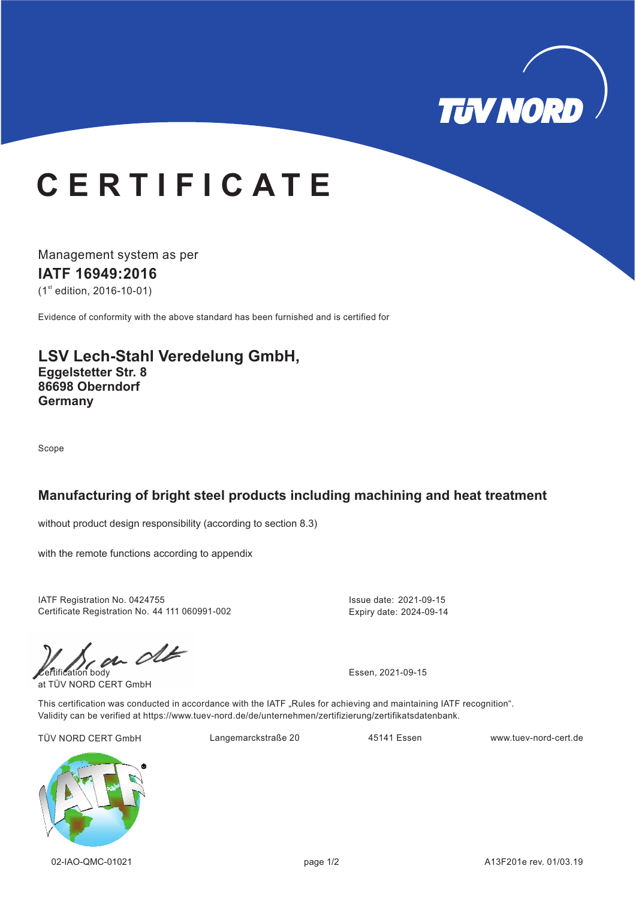

# **C E R T I F I C A T E**

Management system as per **IATF 16949:2016**  $(1<sup>st</sup>$  edition, 2016-10-01)

Evidence of conformity with the above standard has been furnished and is certified for

## **LSV Lech-Stahl Veredelung GmbH, Eggelstetter Str. 8 86698 Oberndorf Germany**

Scope

### **Manufacturing of bright steel products including machining and heat treatment**

without product design responsibility (according to section 8.3)

with the remote functions according to appendix

IATF Registration No. 0424755 Certificate Registration No. 44 111 060991-002

 $\mathcal{C}$ 

at TÜV NORD CERT GmbH

Expiry date: 2024-09-14

Issue date: 2021-09-15

This certification was conducted in accordance with the IATF "Rules for achieving and maintaining IATF recognition". Validity can be verified at https://www.tuev-nord.de/de/unternehmen/zertifizierung/zertifikatsdatenbank.

TÜV NORD CERT GmbH Langemarckstraße 20 45141 Essen www.tuev-nord-cert.de